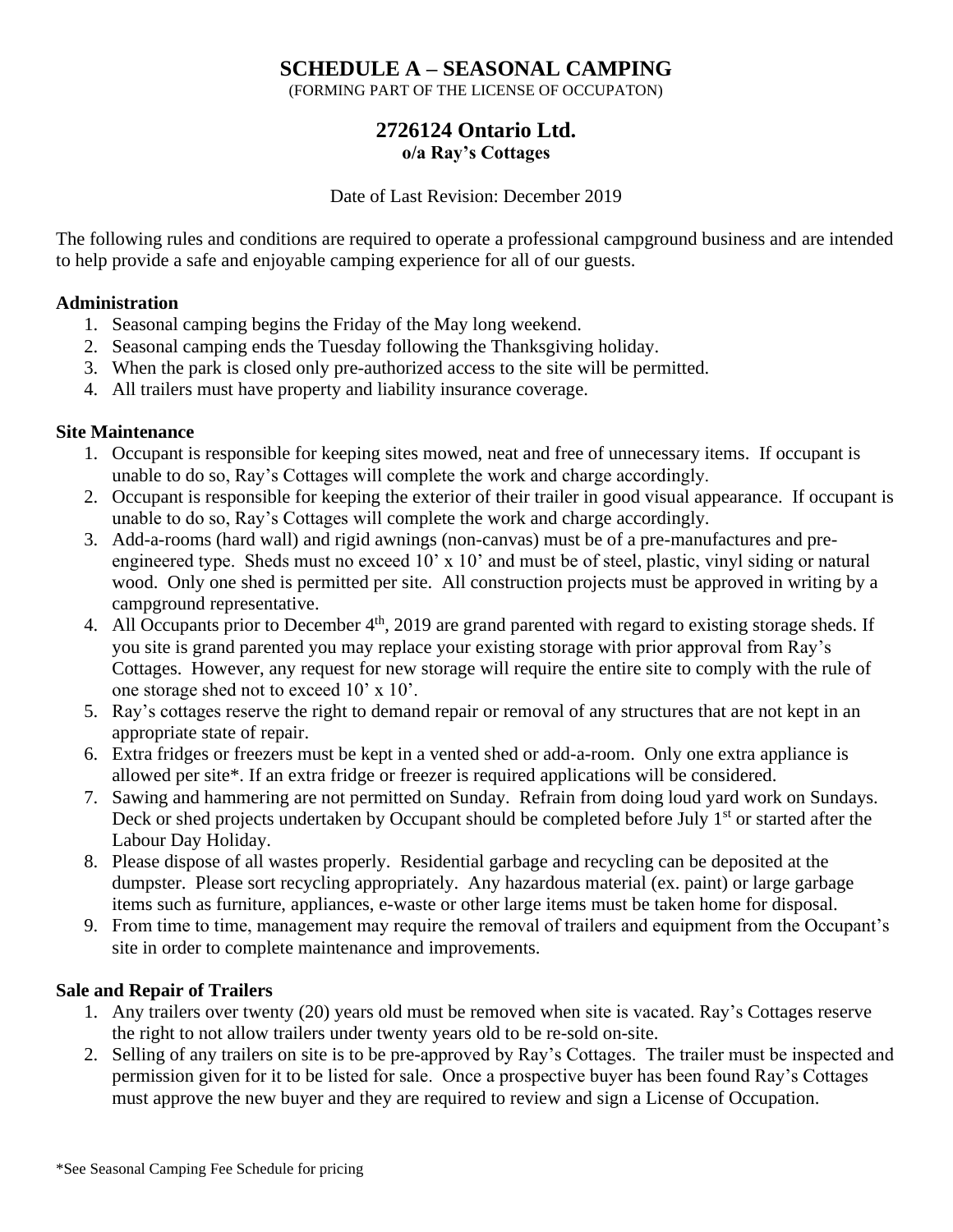# **SCHEDULE A – SEASONAL CAMPING**

(FORMING PART OF THE LICENSE OF OCCUPATON)

# **2726124 Ontario Ltd. o/a Ray's Cottages**

#### Date of Last Revision: December 2019

The following rules and conditions are required to operate a professional campground business and are intended to help provide a safe and enjoyable camping experience for all of our guests.

#### **Administration**

- 1. Seasonal camping begins the Friday of the May long weekend.
- 2. Seasonal camping ends the Tuesday following the Thanksgiving holiday.
- 3. When the park is closed only pre-authorized access to the site will be permitted.
- 4. All trailers must have property and liability insurance coverage.

#### **Site Maintenance**

- 1. Occupant is responsible for keeping sites mowed, neat and free of unnecessary items. If occupant is unable to do so, Ray's Cottages will complete the work and charge accordingly.
- 2. Occupant is responsible for keeping the exterior of their trailer in good visual appearance. If occupant is unable to do so, Ray's Cottages will complete the work and charge accordingly.
- 3. Add-a-rooms (hard wall) and rigid awnings (non-canvas) must be of a pre-manufactures and preengineered type. Sheds must no exceed 10' x 10' and must be of steel, plastic, vinyl siding or natural wood. Only one shed is permitted per site. All construction projects must be approved in writing by a campground representative.
- 4. All Occupants prior to December 4<sup>th</sup>, 2019 are grand parented with regard to existing storage sheds. If you site is grand parented you may replace your existing storage with prior approval from Ray's Cottages. However, any request for new storage will require the entire site to comply with the rule of one storage shed not to exceed 10' x 10'.
- 5. Ray's cottages reserve the right to demand repair or removal of any structures that are not kept in an appropriate state of repair.
- 6. Extra fridges or freezers must be kept in a vented shed or add-a-room. Only one extra appliance is allowed per site\*. If an extra fridge or freezer is required applications will be considered.
- 7. Sawing and hammering are not permitted on Sunday. Refrain from doing loud yard work on Sundays. Deck or shed projects undertaken by Occupant should be completed before July 1<sup>st</sup> or started after the Labour Day Holiday.
- 8. Please dispose of all wastes properly. Residential garbage and recycling can be deposited at the dumpster. Please sort recycling appropriately. Any hazardous material (ex. paint) or large garbage items such as furniture, appliances, e-waste or other large items must be taken home for disposal.
- 9. From time to time, management may require the removal of trailers and equipment from the Occupant's site in order to complete maintenance and improvements.

#### **Sale and Repair of Trailers**

- 1. Any trailers over twenty (20) years old must be removed when site is vacated. Ray's Cottages reserve the right to not allow trailers under twenty years old to be re-sold on-site.
- 2. Selling of any trailers on site is to be pre-approved by Ray's Cottages. The trailer must be inspected and permission given for it to be listed for sale. Once a prospective buyer has been found Ray's Cottages must approve the new buyer and they are required to review and sign a License of Occupation.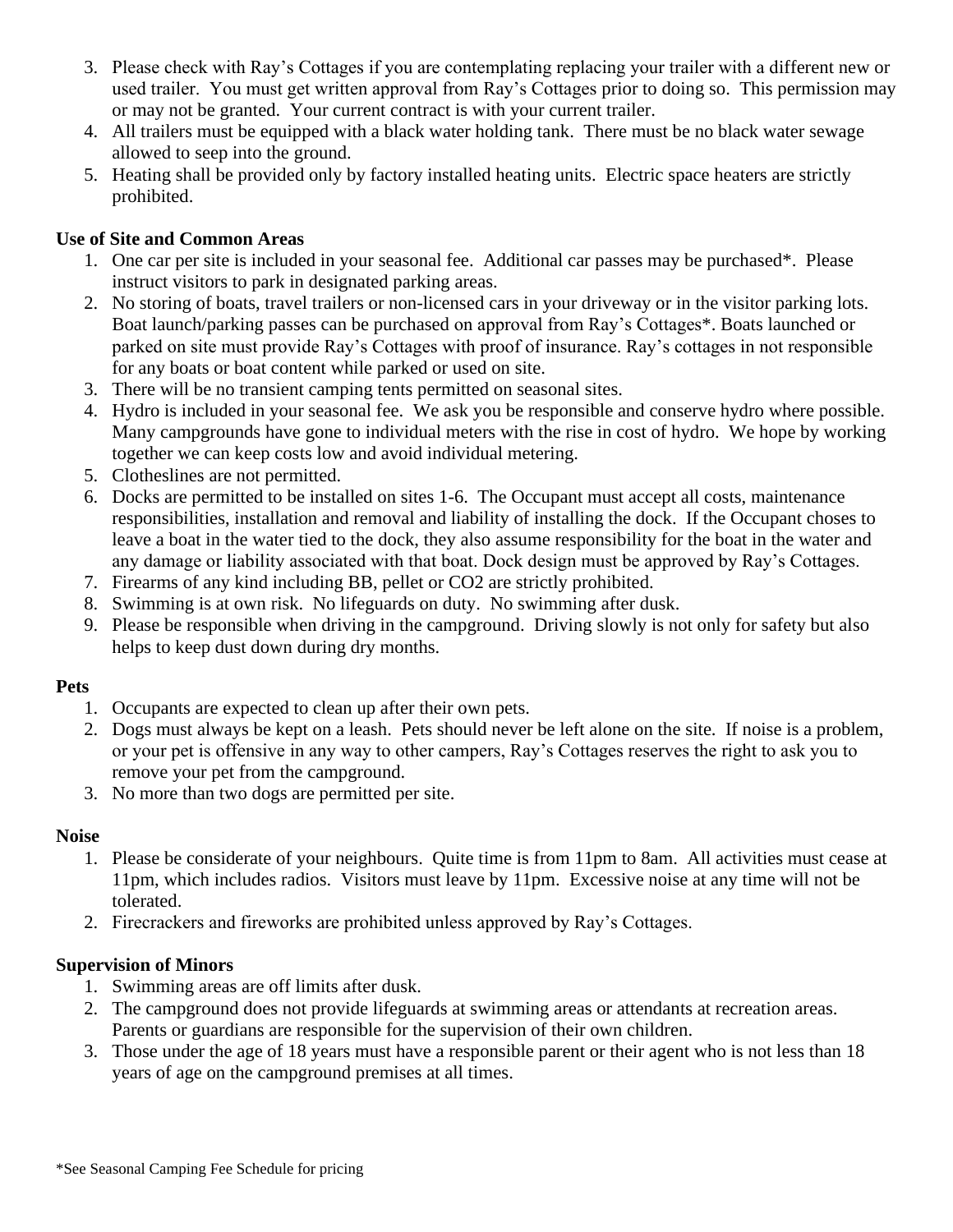- 3. Please check with Ray's Cottages if you are contemplating replacing your trailer with a different new or used trailer. You must get written approval from Ray's Cottages prior to doing so. This permission may or may not be granted. Your current contract is with your current trailer.
- 4. All trailers must be equipped with a black water holding tank. There must be no black water sewage allowed to seep into the ground.
- 5. Heating shall be provided only by factory installed heating units. Electric space heaters are strictly prohibited.

### **Use of Site and Common Areas**

- 1. One car per site is included in your seasonal fee. Additional car passes may be purchased\*. Please instruct visitors to park in designated parking areas.
- 2. No storing of boats, travel trailers or non-licensed cars in your driveway or in the visitor parking lots. Boat launch/parking passes can be purchased on approval from Ray's Cottages\*. Boats launched or parked on site must provide Ray's Cottages with proof of insurance. Ray's cottages in not responsible for any boats or boat content while parked or used on site.
- 3. There will be no transient camping tents permitted on seasonal sites.
- 4. Hydro is included in your seasonal fee. We ask you be responsible and conserve hydro where possible. Many campgrounds have gone to individual meters with the rise in cost of hydro. We hope by working together we can keep costs low and avoid individual metering.
- 5. Clotheslines are not permitted.
- 6. Docks are permitted to be installed on sites 1-6. The Occupant must accept all costs, maintenance responsibilities, installation and removal and liability of installing the dock. If the Occupant choses to leave a boat in the water tied to the dock, they also assume responsibility for the boat in the water and any damage or liability associated with that boat. Dock design must be approved by Ray's Cottages.
- 7. Firearms of any kind including BB, pellet or CO2 are strictly prohibited.
- 8. Swimming is at own risk. No lifeguards on duty. No swimming after dusk.
- 9. Please be responsible when driving in the campground. Driving slowly is not only for safety but also helps to keep dust down during dry months.

#### **Pets**

- 1. Occupants are expected to clean up after their own pets.
- 2. Dogs must always be kept on a leash. Pets should never be left alone on the site. If noise is a problem, or your pet is offensive in any way to other campers, Ray's Cottages reserves the right to ask you to remove your pet from the campground.
- 3. No more than two dogs are permitted per site.

#### **Noise**

- 1. Please be considerate of your neighbours. Quite time is from 11pm to 8am. All activities must cease at 11pm, which includes radios. Visitors must leave by 11pm. Excessive noise at any time will not be tolerated.
- 2. Firecrackers and fireworks are prohibited unless approved by Ray's Cottages.

#### **Supervision of Minors**

- 1. Swimming areas are off limits after dusk.
- 2. The campground does not provide lifeguards at swimming areas or attendants at recreation areas. Parents or guardians are responsible for the supervision of their own children.
- 3. Those under the age of 18 years must have a responsible parent or their agent who is not less than 18 years of age on the campground premises at all times.